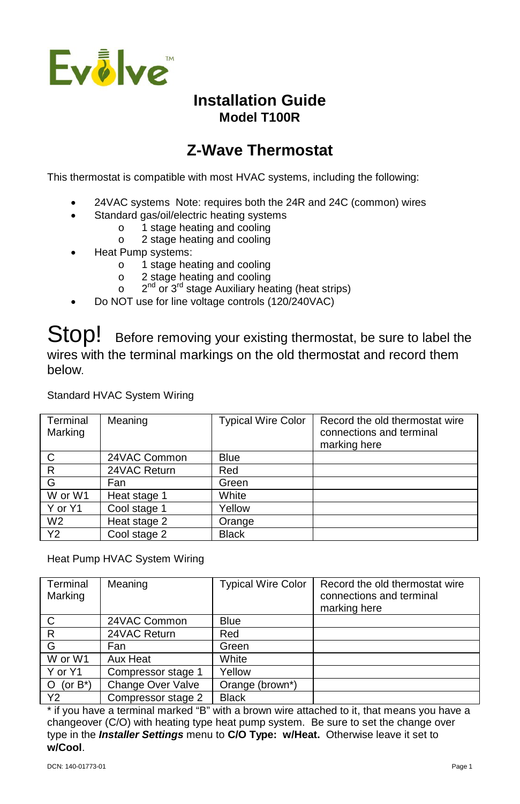

## **Installation Guide Model T100R**

# **Z-Wave Thermostat**

This thermostat is compatible with most HVAC systems, including the following:

- 24VAC systems Note: requires both the 24R and 24C (common) wires
- Standard gas/oil/electric heating systems
	- o 1 stage heating and cooling
	- o 2 stage heating and cooling
- Heat Pump systems:
	- o 1 stage heating and cooling
	- o 2 stage heating and cooling
	- $\degree$  2<sup>nd</sup> or 3<sup>rd</sup> stage Auxiliary heating (heat strips)
- Do NOT use for line voltage controls (120/240VAC)

Stop! Before removing your existing thermostat, be sure to label the wires with the terminal markings on the old thermostat and record them below.

Standard HVAC System Wiring

| Terminal<br>Marking | Meaning      | <b>Typical Wire Color</b> | Record the old thermostat wire<br>connections and terminal<br>marking here |
|---------------------|--------------|---------------------------|----------------------------------------------------------------------------|
| C                   | 24VAC Common | Blue                      |                                                                            |
| R                   | 24VAC Return | Red                       |                                                                            |
| G                   | Fan          | Green                     |                                                                            |
| W or W1             | Heat stage 1 | White                     |                                                                            |
| Y or Y1             | Cool stage 1 | Yellow                    |                                                                            |
| W <sub>2</sub>      | Heat stage 2 | Orange                    |                                                                            |
| <b>Y2</b>           | Cool stage 2 | <b>Black</b>              |                                                                            |

Heat Pump HVAC System Wiring

| Terminal<br>Marking    | Meaning            | <b>Typical Wire Color</b> | Record the old thermostat wire<br>connections and terminal<br>marking here |
|------------------------|--------------------|---------------------------|----------------------------------------------------------------------------|
| C                      | 24VAC Common       | <b>Blue</b>               |                                                                            |
| $\mathsf{R}$           | 24VAC Return       | Red                       |                                                                            |
| G                      | Fan                | Green                     |                                                                            |
| W or W1                | Aux Heat           | White                     |                                                                            |
| Y or Y1                | Compressor stage 1 | Yellow                    |                                                                            |
| $\circ$<br>(or $B^*$ ) | Change Over Valve  | Orange (brown*)           |                                                                            |
| Y <sub>2</sub>         | Compressor stage 2 | <b>Black</b>              |                                                                            |

\* if you have a terminal marked "B" with a brown wire attached to it, that means you have a changeover (C/O) with heating type heat pump system. Be sure to set the change over type in the *Installer Settings* menu to **C/O Type: w/Heat.** Otherwise leave it set to **w/Cool**.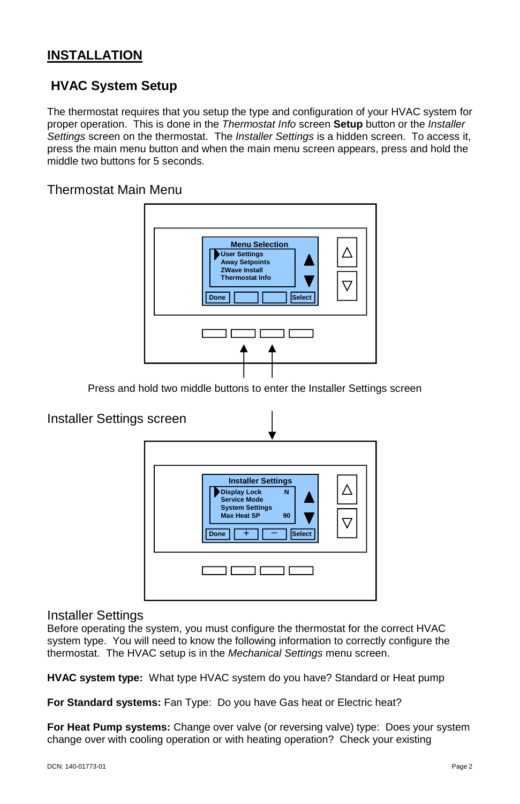### **INSTALLATION**

### **HVAC System Setup**

The thermostat requires that you setup the type and configuration of your HVAC system for proper operation. This is done in the *Thermostat Info* screen **Setup** button or the *Installer Settings* screen on the thermostat. The *Installer Settings* is a hidden screen. To access it, press the main menu button and when the main menu screen appears, press and hold the middle two buttons for 5 seconds.

Thermostat Main Menu



Press and hold two middle buttons to enter the Installer Settings screen



### Installer Settings

Before operating the system, you must configure the thermostat for the correct HVAC system type. You will need to know the following information to correctly configure the thermostat. The HVAC setup is in the *Mechanical Settings* menu screen.

**HVAC system type:** What type HVAC system do you have? Standard or Heat pump

**For Standard systems:** Fan Type: Do you have Gas heat or Electric heat?

**For Heat Pump systems:** Change over valve (or reversing valve) type: Does your system change over with cooling operation or with heating operation? Check your existing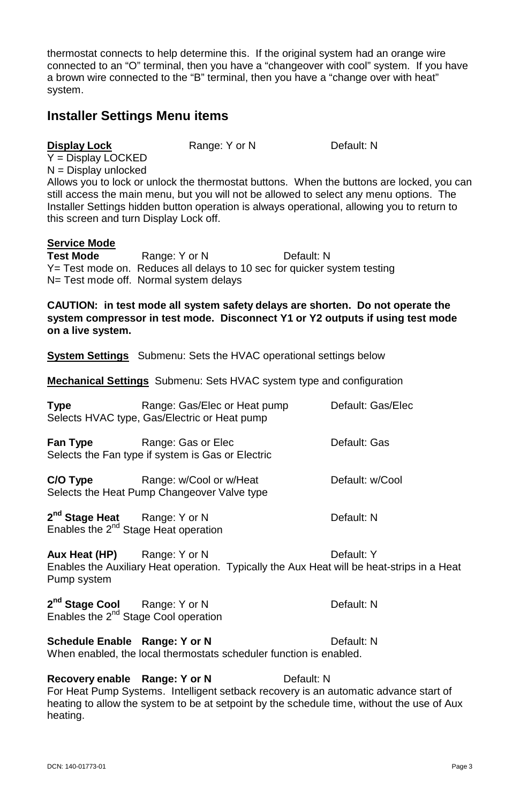thermostat connects to help determine this. If the original system had an orange wire connected to an "O" terminal, then you have a "changeover with cool" system. If you have a brown wire connected to the "B" terminal, then you have a "change over with heat" system.

### **Installer Settings Menu items**

#### **Display Lock Range: Y or N** Default: N

Y = Display LOCKED  $N =$  Display unlocked

Allows you to lock or unlock the thermostat buttons. When the buttons are locked, you can still access the main menu, but you will not be allowed to select any menu options. The Installer Settings hidden button operation is always operational, allowing you to return to this screen and turn Display Lock off.

#### **Service Mode**

**Test Mode** Range: Y or N Default: N Y= Test mode on. Reduces all delays to 10 sec for quicker system testing N= Test mode off. Normal system delays

**CAUTION: in test mode all system safety delays are shorten. Do not operate the system compressor in test mode. Disconnect Y1 or Y2 outputs if using test mode on a live system.**

**System Settings** Submenu: Sets the HVAC operational settings below

**Mechanical Settings** Submenu: Sets HVAC system type and configuration

| <b>Type</b>                                                                    | Range: Gas/Elec or Heat pump<br>Selects HVAC type, Gas/Electric or Heat pump | Default: Gas/Elec |
|--------------------------------------------------------------------------------|------------------------------------------------------------------------------|-------------------|
| Fan Type                                                                       | Range: Gas or Elec<br>Selects the Fan type if system is Gas or Electric      | Default: Gas      |
| C/O Type                                                                       | Range: w/Cool or w/Heat<br>Selects the Heat Pump Changeover Valve type       | Default: w/Cool   |
| 2 <sup>nd</sup> Stage Heat<br>Enables the 2 <sup>nd</sup> Stage Heat operation | Range: Y or N                                                                | Default: N        |
| Aux Heat (HP)                                                                  | Range: Y or N                                                                | Nefault: Y        |

**IX Heat (HP)** Range: Y or N Enables the Auxiliary Heat operation. Typically the Aux Heat will be heat-strips in a Heat Pump system

2<sup>nd</sup> Stage Cool **Range: Y or N** Default: N Enables the 2<sup>nd</sup> Stage Cool operation

**Schedule Enable Range: Y or N** Default: N

When enabled, the local thermostats scheduler function is enabled.

**Recovery enable Range: Y or N** Default: N For Heat Pump Systems. Intelligent setback recovery is an automatic advance start of heating to allow the system to be at setpoint by the schedule time, without the use of Aux heating.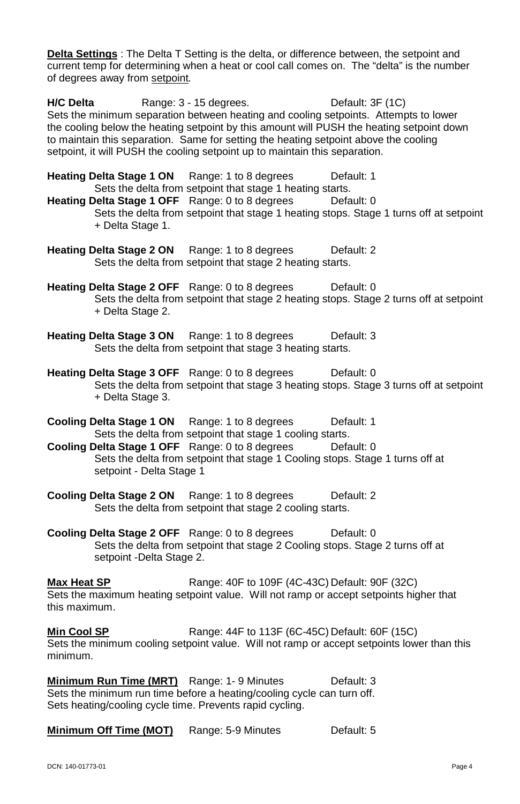**Delta Settings** : The Delta T Setting is the delta, or difference between, the setpoint and current temp for determining when a heat or cool call comes on. The "delta" is the number of degrees away from setpoint*.*

**H/C Delta** Range: 3 - 15 degrees. Default: 3F (1C) Sets the minimum separation between heating and cooling setpoints. Attempts to lower the cooling below the heating setpoint by this amount will PUSH the heating setpoint down to maintain this separation. Same for setting the heating setpoint above the cooling setpoint, it will PUSH the cooling setpoint up to maintain this separation.

**Heating Delta Stage 1 ON** Range: 1 to 8 degrees Default: 1 Sets the delta from setpoint that stage 1 heating starts.

**Heating Delta Stage 1 OFF** Range: 0 to 8 degrees Default: 0 Sets the delta from setpoint that stage 1 heating stops. Stage 1 turns off at setpoint + Delta Stage 1.

**Heating Delta Stage 2 ON** Range: 1 to 8 degrees Default: 2 Sets the delta from setpoint that stage 2 heating starts.

**Heating Delta Stage 2 OFF** Range: 0 to 8 degrees Default: 0 Sets the delta from setpoint that stage 2 heating stops. Stage 2 turns off at setpoint + Delta Stage 2.

- **Heating Delta Stage 3 ON** Range: 1 to 8 degrees Default: 3 Sets the delta from setpoint that stage 3 heating starts.
- **Heating Delta Stage 3 OFF** Range: 0 to 8 degrees Default: 0 Sets the delta from setpoint that stage 3 heating stops. Stage 3 turns off at setpoint + Delta Stage 3.
- **Cooling Delta Stage 1 ON** Range: 1 to 8 degrees Default: 1 Sets the delta from setpoint that stage 1 cooling starts.

**Cooling Delta Stage 1 OFF** Range: 0 to 8 degrees Default: 0 Sets the delta from setpoint that stage 1 Cooling stops. Stage 1 turns off at setpoint - Delta Stage 1

**Cooling Delta Stage 2 ON** Range: 1 to 8 degrees Default: 2 Sets the delta from setpoint that stage 2 cooling starts.

**Cooling Delta Stage 2 OFF** Range: 0 to 8 degrees Default: 0 Sets the delta from setpoint that stage 2 Cooling stops. Stage 2 turns off at setpoint -Delta Stage 2.

**Max Heat SP** Range: 40F to 109F (4C-43C) Default: 90F (32C) Sets the maximum heating setpoint value. Will not ramp or accept setpoints higher that this maximum.

**Min Cool SP** Range: 44F to 113F (6C-45C) Default: 60F (15C) Sets the minimum cooling setpoint value. Will not ramp or accept setpoints lower than this minimum.

**Minimum Run Time (MRT)** Range: 1-9 Minutes Default: 3 Sets the minimum run time before a heating/cooling cycle can turn off. Sets heating/cooling cycle time. Prevents rapid cycling.

**Minimum Off Time (MOT)** Range: 5-9 Minutes Default: 5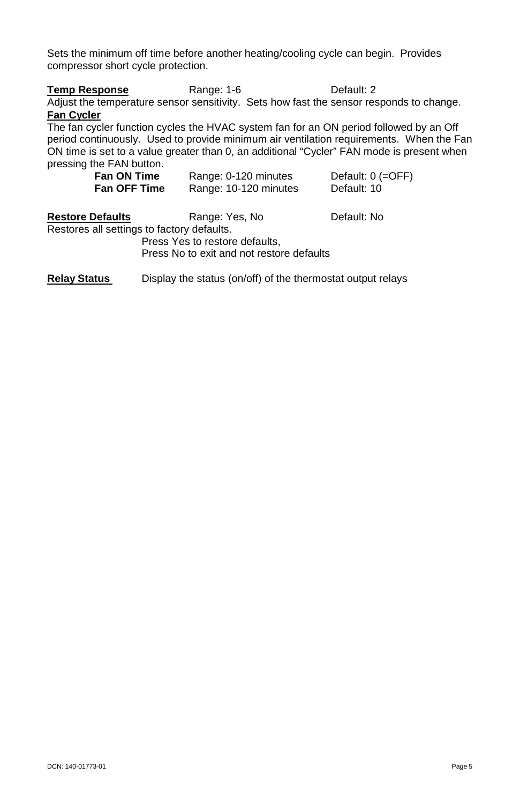Sets the minimum off time before another heating/cooling cycle can begin. Provides compressor short cycle protection.

| <b>Temp Response</b>                                                                      | Range: 1-6           |                       | Default: 2                                                                              |  |  |
|-------------------------------------------------------------------------------------------|----------------------|-----------------------|-----------------------------------------------------------------------------------------|--|--|
| Adjust the temperature sensor sensitivity. Sets how fast the sensor responds to change.   |                      |                       |                                                                                         |  |  |
| <b>Fan Cycler</b>                                                                         |                      |                       |                                                                                         |  |  |
| The fan cycler function cycles the HVAC system fan for an ON period followed by an Off    |                      |                       |                                                                                         |  |  |
|                                                                                           |                      |                       | period continuously. Used to provide minimum air ventilation requirements. When the Fan |  |  |
| ON time is set to a value greater than 0, an additional "Cycler" FAN mode is present when |                      |                       |                                                                                         |  |  |
| pressing the FAN button.                                                                  |                      |                       |                                                                                         |  |  |
| Fan ON Time                                                                               | Range: 0-120 minutes |                       | Default: 0 (=OFF)                                                                       |  |  |
| <b>Fan OFF Time</b>                                                                       |                      | Range: 10-120 minutes | Default: 10                                                                             |  |  |
| <b>Restore Defaults</b>                                                                   | Range: Yes, No       |                       | Default: No                                                                             |  |  |
| Restores all settings to factory defaults.                                                |                      |                       |                                                                                         |  |  |
| Press Yes to restore defaults,                                                            |                      |                       |                                                                                         |  |  |
| Press No to exit and not restore defaults                                                 |                      |                       |                                                                                         |  |  |

**Relay Status** Display the status (on/off) of the thermostat output relays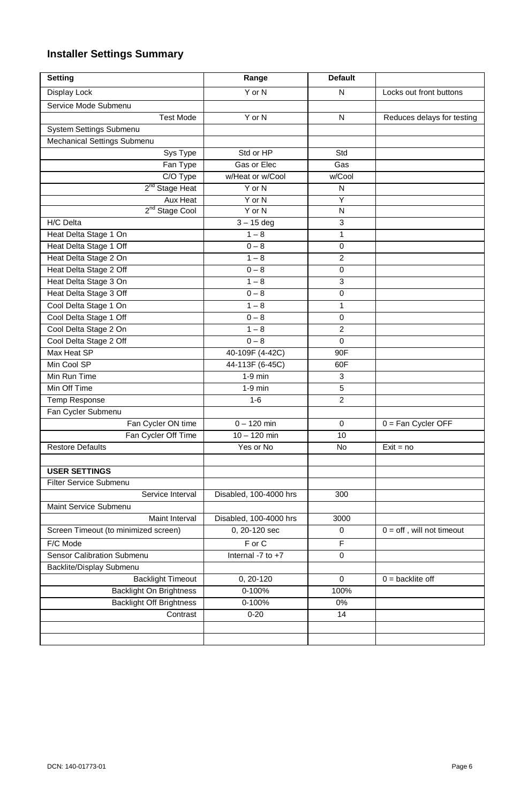### **Installer Settings Summary**

| Setting                                 | Range                                   | <b>Default</b>   |                             |
|-----------------------------------------|-----------------------------------------|------------------|-----------------------------|
| Display Lock                            | Y or N                                  | $\mathsf{N}$     | Locks out front buttons     |
| Service Mode Submenu                    |                                         |                  |                             |
| <b>Test Mode</b>                        | Y or N                                  | N                | Reduces delays for testing  |
| <b>System Settings Submenu</b>          |                                         |                  |                             |
| Mechanical Settings Submenu             |                                         |                  |                             |
| Sys Type                                | Std or HP                               | Std              |                             |
| Fan Type                                | Gas or Elec                             | Gas              |                             |
| C/O Type                                | w/Heat or w/Cool                        | w/Cool           |                             |
| 2 <sup>nd</sup> Stage Heat              | Y or N                                  | N                |                             |
| Aux Heat                                | Y or N                                  | Ÿ                |                             |
| 2 <sup>nd</sup> Stage Cool              | $Y$ or $N$                              | N                |                             |
| H/C Delta                               | $3 - 15$ deg                            | 3                |                             |
| Heat Delta Stage 1 On                   | $1 - 8$                                 | 1                |                             |
| Heat Delta Stage 1 Off                  | $0 - 8$                                 | 0                |                             |
| Heat Delta Stage 2 On                   | $1 - 8$                                 | $\overline{2}$   |                             |
| Heat Delta Stage 2 Off                  | $0 - 8$                                 | $\overline{0}$   |                             |
| Heat Delta Stage 3 On                   | $1 - 8$                                 | 3                |                             |
| Heat Delta Stage 3 Off                  | $0 - 8$                                 | 0                |                             |
| Cool Delta Stage 1 On                   | $1 - 8$                                 | 1                |                             |
| Cool Delta Stage 1 Off                  | $0 - 8$                                 | 0                |                             |
| Cool Delta Stage 2 On                   | $1 - 8$                                 | $\overline{2}$   |                             |
| Cool Delta Stage 2 Off                  | $0 - 8$                                 | 0                |                             |
| Max Heat SP                             | 40-109F (4-42C)                         | 90F              |                             |
| Min Cool SP                             | 44-113F (6-45C)                         | 60F              |                             |
| Min Run Time                            | $1-9$ min                               | 3                |                             |
| Min Off Time                            | $1-9$ min                               | 5                |                             |
| Temp Response                           | $1 - 6$                                 | $\overline{2}$   |                             |
| Fan Cycler Submenu                      |                                         |                  |                             |
| Fan Cycler ON time                      | $0 - 120$ min                           | $\mathbf 0$      | $0 = Fan$ Cycler OFF        |
| Fan Cycler Off Time                     | $10 - 120$ min                          | 10               |                             |
| <b>Restore Defaults</b>                 | Yes or No                               | <b>No</b>        | $\overline{Ex}$ it = no     |
|                                         |                                         |                  |                             |
| <b>USER SETTINGS</b>                    |                                         |                  |                             |
| Filter Service Submenu                  |                                         |                  |                             |
| Service Interval                        | Disabled, 100-4000 hrs                  | 300              |                             |
| Maint Service Submenu<br>Maint Interval |                                         |                  |                             |
|                                         | Disabled, 100-4000 hrs<br>0, 20-120 sec | 3000<br>$\Omega$ | $0 =$ off, will not timeout |
| Screen Timeout (to minimized screen)    |                                         |                  |                             |
| F/C Mode                                | $F$ or $C$                              | F                |                             |
| Sensor Calibration Submenu              | Internal -7 to +7                       | $\mathbf 0$      |                             |
| Backlite/Display Submenu                |                                         |                  |                             |
| <b>Backlight Timeout</b>                | $0, 20 - 120$                           | $\mathbf 0$      | $0 =$ backlite off          |
| <b>Backlight On Brightness</b>          | 0-100%                                  | 100%             |                             |
| <b>Backlight Off Brightness</b>         | 0-100%                                  | 0%               |                             |
| Contrast                                | $0 - 20$                                | 14               |                             |
|                                         |                                         |                  |                             |
|                                         |                                         |                  |                             |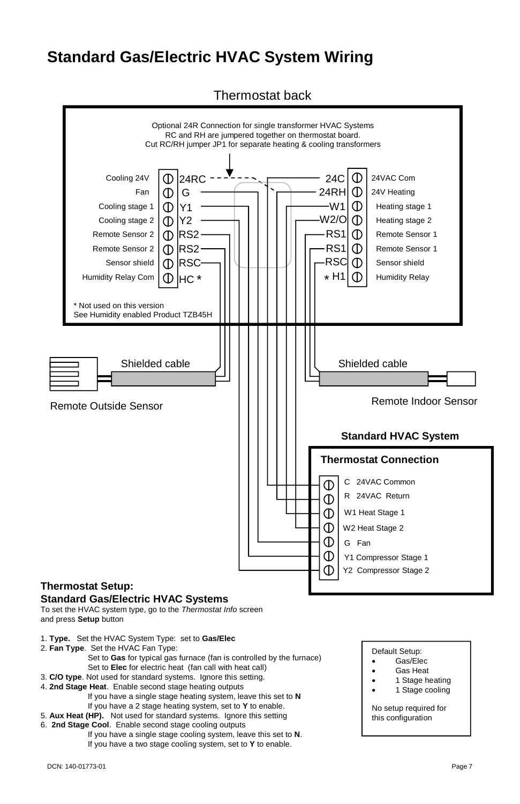## **Standard Gas/Electric HVAC System Wiring**

Thermostat back